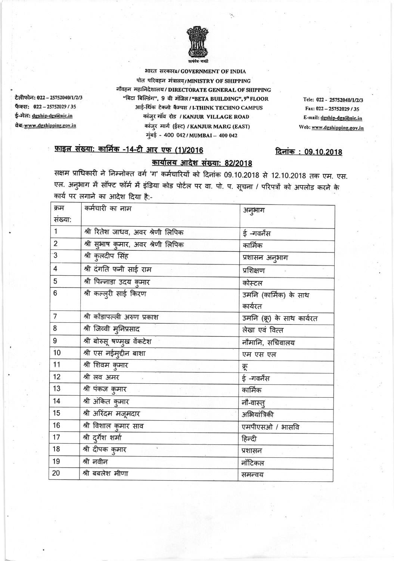

भारत सरकारa/GOVERNMENT OF INDIA पोत परिवहन मंत्रालय/MINISTRY OF SHIPPING नौवहन महानिदेशालय/DIRECTORATE GENERAL OF SHIPPING "बिटा बिल्डिंग", 9 वी मंजिल / "BETA BUILDING", 9" FLOOR आई-थिंक टेक्नो कैम्पस / I-THINK TECHNO CAMPUS कांज़ुर गाॅव रोड / KANJUR VILLAGE ROAD कांजुर मार्ग (ईस्ट) / KANJUR MARG (EAST) मुंबई - 400 042/MUMBAI - 400 042

Tele: 022 - 25752040/1/2/3 Fax: 022-25752029/35 E-mail: dgship-dgs@nic.in Web: www.dgshipping.gov.in

दिनांक: 09.10.2018

## फ़ाइल संख्या: कार्मिक -14-टी आर एफ (1)/2016

टेलीफोन: 022 - 25752040/1/2/3

फैक्स: 022-25752029/35

ई-मेल: dgship-dgs@nic.in

वेब: www.dgshipping.gov.in

## कार्यालय आदेश संख्या: 82/2018

सक्षम प्राधिकारी ने निम्नोक्त वर्ग 'ग' कर्मचारियों को दिनांक 09.10.2018 से 12.10.2018 तक एम. एस. एल. अनुभाग में सॉफ्ट फॉर्म में इंडिया कोड पोर्टल पर वा. पो. प. सूचना / परिपत्रों को अपलोड करने के कार्य पर लगाने का आदेश दिया है:-

| क्रम           | कर्मचारी का नाम                    | अनुभाग                     |
|----------------|------------------------------------|----------------------------|
| संख्या:        |                                    |                            |
| 1              | श्री रितेश जाधव, अवर श्रेणी लिपिक  | ई -गवर्नेंस                |
| $\overline{2}$ | श्री सुभाष कुमार, अवर श्रेणी लिपिक | कार्मिक                    |
| .ვ             | श्री कुलदीप सिंह                   | प्रशासन अनुभाग             |
| 4              | श्री दंगति फनी साई राम             | प्रशिक्षण                  |
| 5              | श्री पिन्नाडा उदय कुमार            | कोस्टल                     |
| 6              | श्री कल्लुरी साई किरण              | उमनि (कार्मिक) के साथ      |
|                |                                    | कार्यरत                    |
| $\overline{7}$ | श्री कोंडापल्ली अरुण प्रकाश        | उमनि (क्रू) के साथ कार्यरत |
| 8              | श्री जिव्वी मुनिप्रसाद             | लेखा एवं वित्त             |
| 9              | श्री बोरुसू षण्मुख वेंकटेश         | नौमानि, सचिवालय            |
| 10             | श्री एस नईमुद्दीन बाशा             | एम एस एल                   |
| 11             | श्री शिवम कुमार                    | क्रू                       |
| 12             | श्री लव अमर                        | ई -गवर्नेंस                |
| 13             | श्री पंकज कुमार                    | कार्मिक                    |
| 14             | श्री अंकित कुमार                   | नौ-वास्तु                  |
| 15             | श्री अरिंदम मजूमदार                | अभियांत्रिकी               |
| 16             | श्री विशाल कुमार साव               | एमपीएसओ / भासवि            |
| 17             | श्री दुर्गेश शर्मा                 | हिन्दी                     |
| 18             | श्री दीपक कुमार                    | प्रशासन                    |
| 19             | श्री नवीन                          | नॉटिकल                     |
| 20             | श्री बबलेश मीणा                    | समन्वय                     |